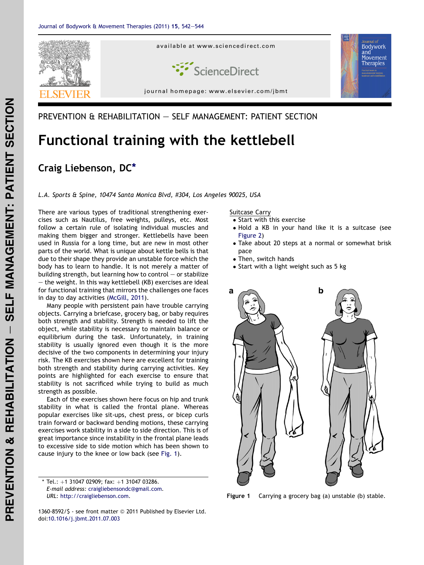

## PREVENTION & REHABILITATION - SELF MANAGEMENT: PATIENT SECTION

# Functional training with the kettlebell

# Craig Liebenson, DC\*

L.A. Sports & Spine, 10474 Santa Monica Blvd, #304, Los Angeles 90025, USA

There are various types of traditional strengthening exercises such as Nautilus, free weights, pulleys, etc. Most follow a certain rule of isolating individual muscles and making them bigger and stronger. Kettlebells have been used in Russia for a long time, but are new in most other parts of the world. What is unique about kettle bells is that due to their shape they provide an unstable force which the body has to learn to handle. It is not merely a matter of building strength, but learning how to control  $-$  or stabilize  $-$  the weight. In this way kettlebell (KB) exercises are ideal for functional training that mirrors the challenges one faces in day to day activities [\(McGill, 2011\)](#page-2-0).

Many people with persistent pain have trouble carrying objects. Carrying a briefcase, grocery bag, or baby requires both strength and stability. Strength is needed to lift the object, while stability is necessary to maintain balance or equilibrium during the task. Unfortunately, in training stability is usually ignored even though it is the more decisive of the two components in determining your injury risk. The KB exercises shown here are excellent for training both strength and stability during carrying activities. Key points are highlighted for each exercise to ensure that stability is not sacrificed while trying to build as much strength as possible.

Each of the exercises shown here focus on hip and trunk stability in what is called the frontal plane. Whereas popular exercises like sit-ups, chest press, or bicep curls train forward or backward bending motions, these carrying exercises work stability in a side to side direction. This is of great importance since instability in the frontal plane leads to excessive side to side motion which has been shown to cause injury to the knee or low back (see Fig. 1).

Suitcase Carry

- Start with this exercise
- Hold a KB in your hand like it is a suitcase (see [Figure 2\)](#page-1-0)
- Take about 20 steps at a normal or somewhat brisk pace
- Then, switch hands
- Start with a light weight such as 5 kg



Figure 1 Carrying a grocery bag (a) unstable (b) stable.

1360-8592/\$ - see front matter © 2011 Published by Elsevier Ltd. doi:[10.1016/j.jbmt.2011.07.003](http://dx.doi.org/10.1016/j.jbmt.2011.07.003)

<sup>\*</sup> Tel.:  $+1$  31047 02909; fax:  $+1$  31047 03286. E-mail address: [craigliebensondc@gmail.com](mailto:craigliebensondc@gmail.com). URL: <http://craigliebenson.com>.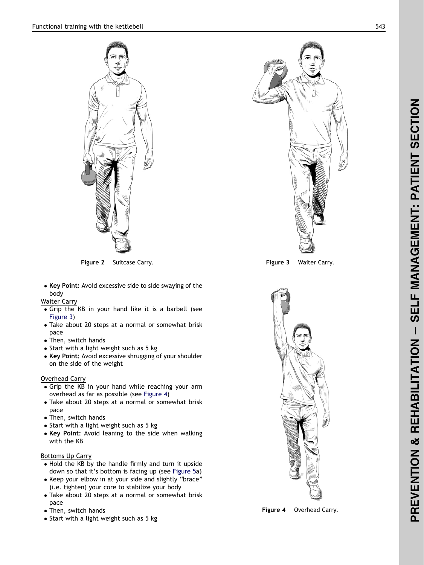<span id="page-1-0"></span>

**Figure 2** Suitcase Carry. The Suite of the Suite of the Suite of Times Suite Carry.<br>The Suite of the Suite of the Suite of the Suite of the Suite of the Suite of the Suite of the Suite of the Su

• Key Point: Avoid excessive side to side swaying of the body

Waiter Carry

- Grip the KB in your hand like it is a barbell (see Figure 3 )
- Take about 20 steps at a normal or somewhat brisk pace
- Then, switch hands
- Start with a light weight such as 5 kg
- Key Point: Avoid excessive shrugging of your shoulder on the side of the weight

### Overhead Carry

- Grip the KB in your hand while reaching your arm overhead as far as possible (see Figure 4 )
- Take about 20 steps at a normal or somewhat brisk pace
- Then, switch hands
- Start with a light weight such as 5 kg
- Key Point: Avoid leaning to the side when walking with the KB

### Bottoms Up Carry

- Hold the KB by the handle firmly and turn it upside down so that it's bottom is facing up (see [Figure 5a](#page-2-0))
- Keep your elbow in at your side and slightly "brace" (i.e. tighten) your core to stabilize your body
- Take about 20 steps at a normal or somewhat brisk pace
- Then, switch hands
- Start with a light weight such as 5 kg





Figure 4 Overhead Carry.